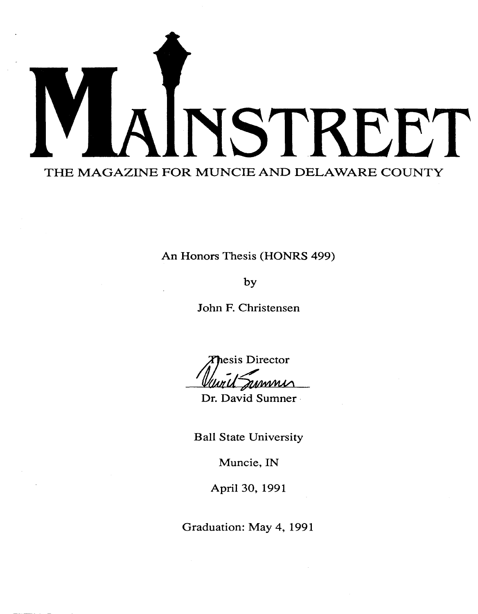# STI THE MAGAZINE FOR MUNCIE AND DELAWARE COUNTY

An Honors Thesis (HONRS 499)

by

John F. Christensen

hesis Director summi

Dr. David Sumner·

Ball State University

Muncie, IN

April 30, 1991

Graduation: May 4, 1991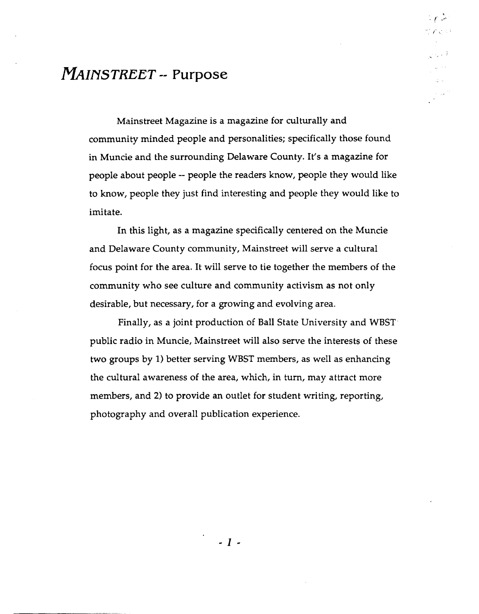### *MAINSTREET* **-- Purpose**

Mainstreet Magazine is a magazine for culturally and community minded people and personalities; specifically those found in Muncie and the surrounding Delaware County. It's a magazine for people about people -- people the readers know, people they would like to know, people they just find interesting and people they would like to imitate.

 $\mathbb{Z} \times \mathbb{Z}^2$ 

In this light, as a magazine specifically centered on the Muncie and Delaware County community, Mainstreet will serve a cultural focus point for the area. It will serve to tie together the members of the community who see culture and community activism as not only desirable, but necessary, for a growing and evolving area.

Finally, as a joint production of Ball State University and WBST public radio in Muncie, Mainstreet will also serve the interests of these two groups by 1) better serving WBST members, as well as enhancing the cultural awareness of the area, which, in turn, may attract more members, and 2) to provide an outlet for student writing, reporting, photography and overall publication experience.

- 1 -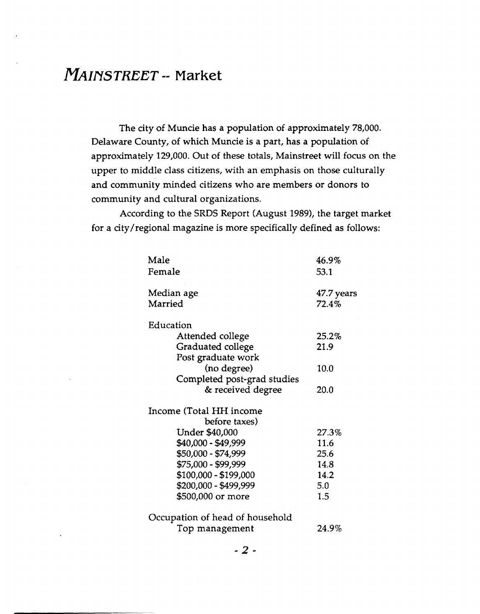# *MAINSTRBBT* **-- Market**

The city of Muncie has a population of approximately 78,000. Delaware County, of which Muncie is a part, has a population of approximately 129,000. Out of these totals, Mainstreet will focus on the upper to middle class citizens, with an emphasis on those culturally and community minded citizens who are members or donors to community and cultural organizations.

According to the SRDS Report (August 1989), the target market for a city/regional magazine is more specifically defined as follows:

| 46.9%      |
|------------|
| 53.1       |
| 47.7 years |
| 72.4%      |
|            |
| 25.2%      |
| 21.9       |
|            |
| 10.0       |
|            |
| 20.0       |
|            |
|            |
| 27.3%      |
| 11.6       |
| 25.6       |
| 14.8       |
| 14.2       |
| 5.0        |
| 1.5        |
|            |
| 24.9%      |
|            |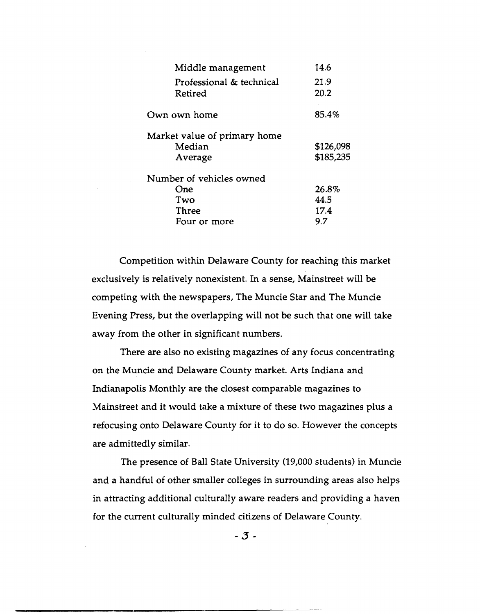| Middle management            | 14.6      |
|------------------------------|-----------|
| Professional & technical     | 21.9      |
| Retired                      | 20.2      |
| Own own home                 | 85.4%     |
| Market value of primary home |           |
| Median                       | \$126,098 |
| Average                      | \$185,235 |
| Number of vehicles owned     |           |
| One                          | 26.8%     |
| Two                          | 44.5      |
| Three                        | 17.4      |
| Four or more                 | 9.7       |

Competition within Delaware County for reaching this market exclusively is relatively nonexistent. In a sense, Mainstreet will be competing with the newspapers, The Muncie Star and The Muncie Evening Press, but the overlapping will not be such that one will take away from the other in significant numbers.

There are also no existing magazines of any focus concentrating on the Muncie and Delaware County market. Arts Indiana and Indianapolis Monthly are the closest comparable magazines to Mainstreet and it would take a mixture of these two magazines plus a refocusing onto Delaware County for it to do so. However the concepts are admittedly similar.

The presence of Ball State University (19,000 students) in Muncie and a handful of other smaller colleges in surrounding areas also helps in attracting additional culturally aware readers and providing a haven for the current culturally minded citizens of Delaware County.

 $-3 -$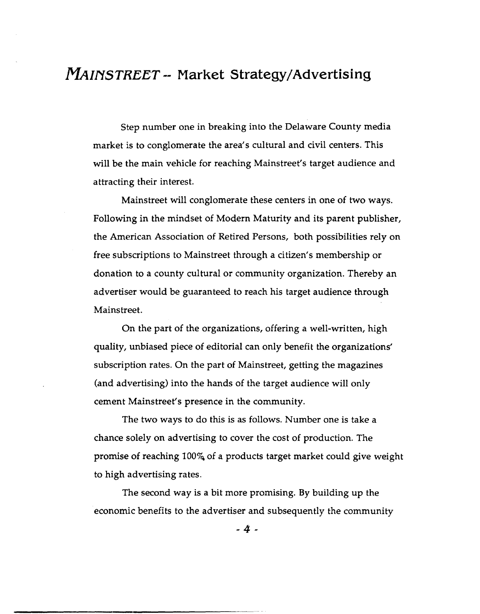#### *MAINSTREET ....* **Market Strategy/Advertising**

Step number one in breaking into the Delaware County media market is to conglomerate the area's cultural and civil centers. This will be the main vehicle for reaching Mainstreet's target audience and attracting their interest.

Mainstreet will conglomerate these centers in one of two ways. Following in the mind set of Modern Maturity and its parent publisher, the American Association of Retired Persons, both possibilities rely on free subscriptions to Mainstreet through a citizen's membership or donation to a county cultural or community organization. Thereby an advertiser would be guaranteed to reach his target audience through Mainstreet.

On the part of the organizations, offering a well-written, high quality, unbiased piece of editorial can only benefit the organizations' subscription rates. On the part of Mainstreet, getting the magazines (and advertising) into the hands of the target audience will only cement Mainstreet's presence in the community.

The two ways to do this is as follows. Number one is take a chance solely on advertising to cover the cost of production. The promise of reaching 100% of a products target market could give weight to high advertising rates.

The second way is a bit more promising. By building up the economic benefits to the advertiser and subsequently the community

- 4 -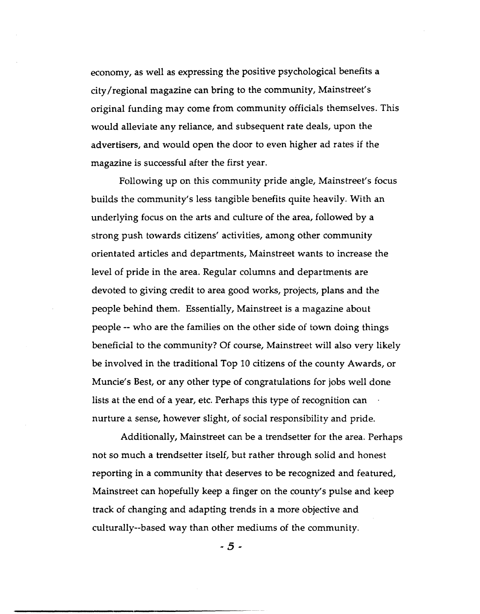economy, as well as expressing the positive psychological benefits a city /regional magazine can bring to the community, Mainstreet's original funding may come from community officials themselves. This would alleviate any reliance, and subsequent rate deals, upon the advertisers, and would open the door to even higher ad rates if the magazine is successful after the first year.

Following up on this community pride angle, Mainstreet's focus builds the community's less tangible benefits quite heavily. With an underlying focus on the arts and culture of the area, followed by a strong push towards citizens' activities, among other community orientated articles and departments, Mainstreet wants to increase the level of pride in the area. Regular columns and departments are devoted to giving credit to area good works, projects, plans and the people behind them. Essentially, Mainstreet is a magazine about people -- who are the families on the other side of town doing things beneficial to the community? Of course, Mainstreet will also very likely be involved in the traditional Top 10 citizens of the county Awards, or Muncie's Best, or any other type of congratulations for jobs well done lists at the end of a year, etc. Perhaps this type of recognition can nurture a sense, however slight, of social responsibility and pride.

Additionally, Mainstreet can be a trendsetter for the area. Perhaps not so much a trendsetter itself, but rather through solid and honest reporting in a community that deserves to be recognized and featured, Mainstreet can hopefully keep a finger on the county's pulse and keep track of changing and adapting trends in a more objective and culturally--based way than other mediums of the community.

- 5 -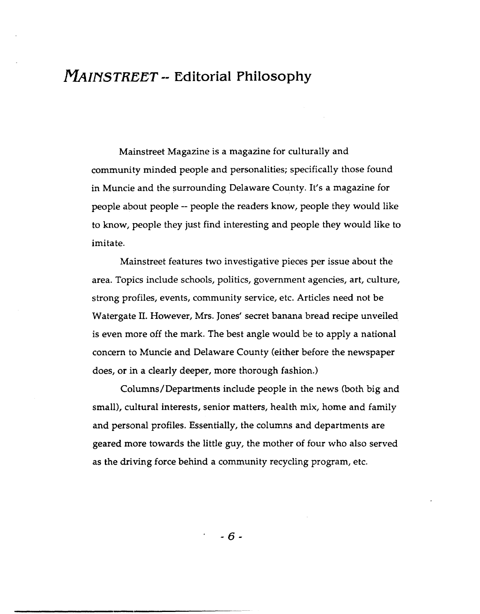## *MAINSTRBBT* **-- Editorial Philosophy**

Mainstreet Magazine is a magazine for culturally and community minded people and personalities; specifically those found in Muncie and the surrounding Delaware County. It's a magazine for people about people -- people the readers know, people they would like to know, people they just find interesting and people they would like to imitate.

Mainstreet features two investigative pieces per issue about the area. Topics include schools, politics, government agencies, art, culture, strong profiles, events, community service, etc. Articles need not be Watergate II. However, Mrs. Jones' secret banana bread recipe unveiled is even more off the mark. The best angle would be to apply a national concern to Muncie and Delaware County (either before the newspaper does, or in a clearly deeper, more thorough fashion.)

Columns/Departments include people in the news (both big and small), cultural interests, senior matters, health mix, home and family and personal profiles. Essentially, the columns and departments are geared more towards the little guy, the mother of four who also served as the driving force behind a community recycling program, etc.

- 6-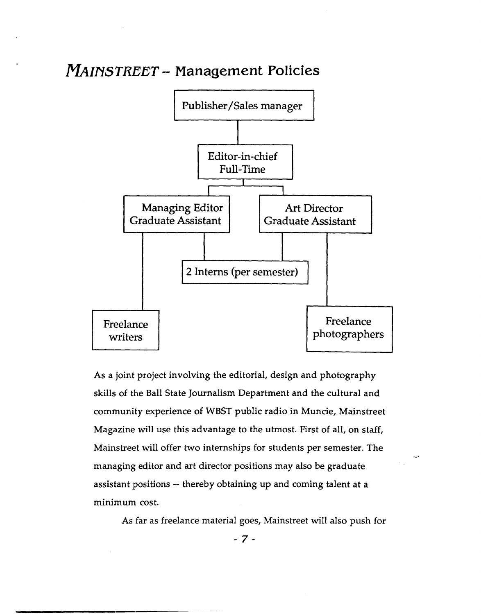

*MAINSTREET --* Management Policies

As a joint project involving the editorial, design and photography skills of the Ball State Journalism Department and the cultural and community experience of WBST public radio in Muncie, Mainstreet Magazine will use this advantage to the utmost. First of all, on staff, Mainstreet will offer two internships for students per semester. The managing editor and art director positions may also be graduate assistant positions -- thereby obtaining up and coming talent at a minimum cost.

As far as freelance material goes, Mainstreet will also push for

 $\sim$ 

- 7 -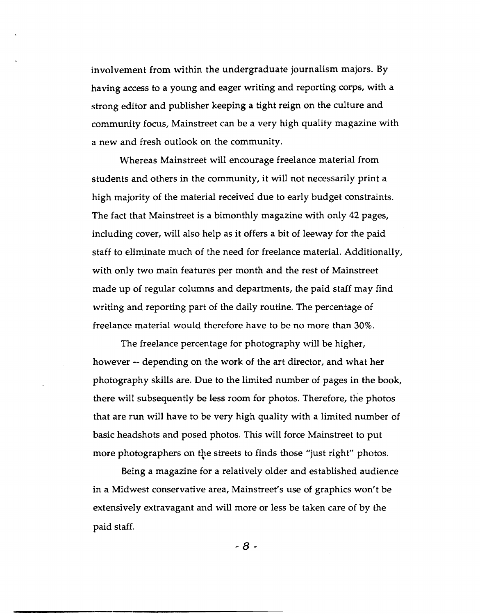involvement from within the undergraduate journalism majors. By having access to a young and eager writing and reporting corps, with a strong editor and publisher keeping a tight reign on the culture and community focus, Mainstreet can be a very high quality magazine with a new and fresh outlook on the community.

vVhereas Mainstreet will encourage freelance material from students and others in the community, it will not necessarily print a high majority of the material received due to early budget constraints. The fact that Mainstreet is a bimonthly magazine with only 42 pages, including cover, will also help as it offers a bit of leeway for the paid staff to eliminate much of the need for freelance material. Additionally, with only two main features per month and the rest of Mainstreet made up of regular columns and departments, the paid staff may find writing and reporting part of the daily routine. The percentage of freelance material would therefore have to be no more than 30%.

The freelance percentage for photography will be higher, however -- depending on the work of the art director, and what her photography skills are. Due to the limited number of pages in the book, there will subsequently be less room for photos. Therefore, the photos that are run will have to be very high quality with a limited number of basic headshots and posed photos. This will force Mainstreet to put more photographers on the streets to finds those "just right" photos.

Being a magazine for a relatively older and established audience in a Midwest conservative area, Mainstreet's use of graphics won't be extensively extravagant and will more or less be taken care of by the paid staff.

- 8 -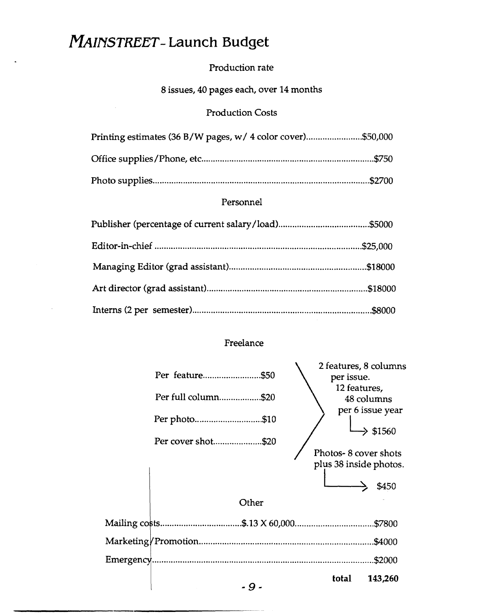# *MAINSTREET* - Launch Budget

 $\ddot{\phantom{a}}$ 

#### Production rate

#### 8 issues, 40 pages each, over 14 months

#### Production Costs

| Printing estimates (36 B/W pages, w/ 4 color cover)\$50,000 |  |
|-------------------------------------------------------------|--|
|                                                             |  |
|                                                             |  |

#### Personnel

#### Freelance

| Per feature\$50     | 2 features, 8 columns<br>per issue.            |                                                |               |  |
|---------------------|------------------------------------------------|------------------------------------------------|---------------|--|
|                     |                                                | 12 features,<br>48 columns<br>per 6 issue year |               |  |
| Per full column\$20 |                                                |                                                |               |  |
| Per photo\$10       |                                                |                                                |               |  |
| Per cover shot\$20  |                                                |                                                | $\div$ \$1560 |  |
|                     | Photos-8 cover shots<br>plus 38 inside photos. |                                                |               |  |
|                     |                                                |                                                |               |  |
|                     |                                                |                                                | \$450         |  |
| Other               |                                                |                                                |               |  |
|                     |                                                |                                                |               |  |
|                     |                                                |                                                | .\$4000       |  |
|                     |                                                |                                                | \$2000.       |  |
| - 9 -               | total                                          |                                                | 143,260       |  |